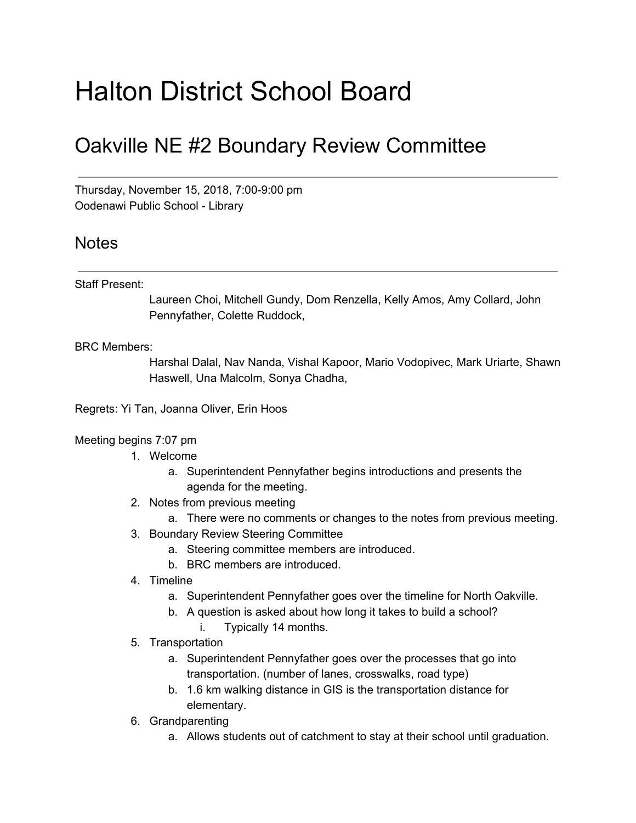# Halton District School Board

## Oakville NE #2 Boundary Review Committee

Thursday, November 15, 2018, 7:00-9:00 pm Oodenawi Public School - Library

### Notes

#### Staff Present:

Laureen Choi, Mitchell Gundy, Dom Renzella, Kelly Amos, Amy Collard, John Pennyfather, Colette Ruddock,

#### BRC Members:

Harshal Dalal, Nav Nanda, Vishal Kapoor, Mario Vodopivec, Mark Uriarte, Shawn Haswell, Una Malcolm, Sonya Chadha,

Regrets: Yi Tan, Joanna Oliver, Erin Hoos

#### Meeting begins 7:07 pm

- 1. Welcome
	- a. Superintendent Pennyfather begins introductions and presents the agenda for the meeting.
- 2. Notes from previous meeting
	- a. There were no comments or changes to the notes from previous meeting.
- 3. Boundary Review Steering Committee
	- a. Steering committee members are introduced.
	- b. BRC members are introduced.
- 4. Timeline
	- a. Superintendent Pennyfather goes over the timeline for North Oakville.
	- b. A question is asked about how long it takes to build a school?
		- i. Typically 14 months.
- 5. Transportation
	- a. Superintendent Pennyfather goes over the processes that go into transportation. (number of lanes, crosswalks, road type)
	- b. 1.6 km walking distance in GIS is the transportation distance for elementary.
- 6. Grandparenting
	- a. Allows students out of catchment to stay at their school until graduation.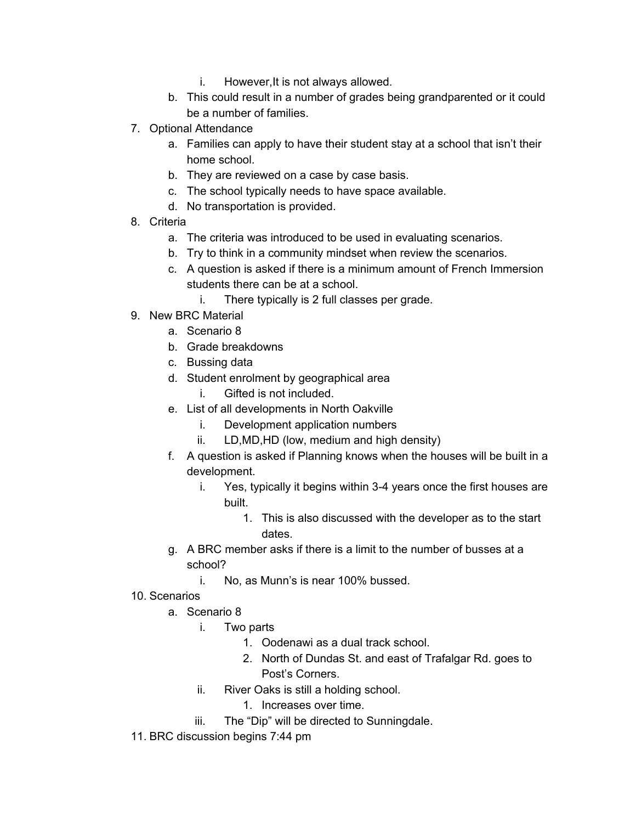- i. However,It is not always allowed.
- b. This could result in a number of grades being grandparented or it could be a number of families.
- 7. Optional Attendance
	- a. Families can apply to have their student stay at a school that isn't their home school.
	- b. They are reviewed on a case by case basis.
	- c. The school typically needs to have space available.
	- d. No transportation is provided.
- 8. Criteria
	- a. The criteria was introduced to be used in evaluating scenarios.
	- b. Try to think in a community mindset when review the scenarios.
	- c. A question is asked if there is a minimum amount of French Immersion students there can be at a school.
		- i. There typically is 2 full classes per grade.
- 9. New BRC Material
	- a. Scenario 8
	- b. Grade breakdowns
	- c. Bussing data
	- d. Student enrolment by geographical area
		- i. Gifted is not included.
	- e. List of all developments in North Oakville
		- i. Development application numbers
		- ii. LD,MD,HD (low, medium and high density)
	- f. A question is asked if Planning knows when the houses will be built in a development.
		- i. Yes, typically it begins within 3-4 years once the first houses are built.
			- 1. This is also discussed with the developer as to the start dates.
	- g. A BRC member asks if there is a limit to the number of busses at a school?
		- i. No, as Munn's is near 100% bussed.
- 10. Scenarios
	- a. Scenario 8
		- i. Two parts
			- 1. Oodenawi as a dual track school.
			- 2. North of Dundas St. and east of Trafalgar Rd. goes to Post's Corners.
		- ii. River Oaks is still a holding school.
			- 1. Increases over time.
		- iii. The "Dip" will be directed to Sunningdale.
- 11. BRC discussion begins 7:44 pm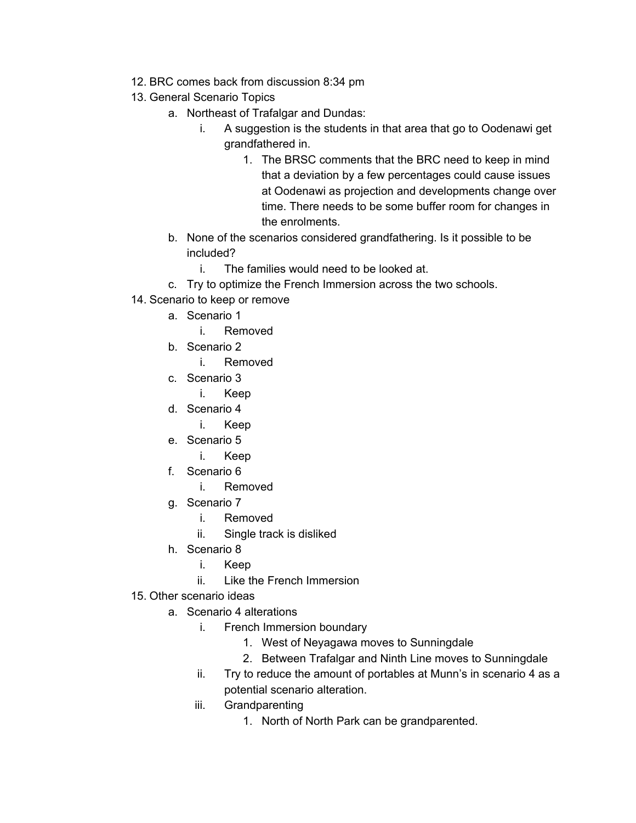- 12. BRC comes back from discussion 8:34 pm
- 13. General Scenario Topics
	- a. Northeast of Trafalgar and Dundas:
		- i. A suggestion is the students in that area that go to Oodenawi get grandfathered in.
			- 1. The BRSC comments that the BRC need to keep in mind that a deviation by a few percentages could cause issues at Oodenawi as projection and developments change over time. There needs to be some buffer room for changes in the enrolments.
	- b. None of the scenarios considered grandfathering. Is it possible to be included?
		- i. The families would need to be looked at.
	- c. Try to optimize the French Immersion across the two schools.
- 14. Scenario to keep or remove
	- a. Scenario 1
		- i. Removed
	- b. Scenario 2
		- i. Removed
	- c. Scenario 3
		- i. Keep
	- d. Scenario 4
		- i. Keep
	- e. Scenario 5
		- i. Keep
	- f. Scenario 6
		- i. Removed
	- g. Scenario 7
		- i. Removed
		- ii. Single track is disliked
	- h. Scenario 8
		- i. Keep
		- ii. Like the French Immersion
- 15. Other scenario ideas
	- a. Scenario 4 alterations
		- i. French Immersion boundary
			- 1. West of Neyagawa moves to Sunningdale
			- 2. Between Trafalgar and Ninth Line moves to Sunningdale
		- ii. Try to reduce the amount of portables at Munn's in scenario 4 as a potential scenario alteration.
		- iii. Grandparenting
			- 1. North of North Park can be grandparented.